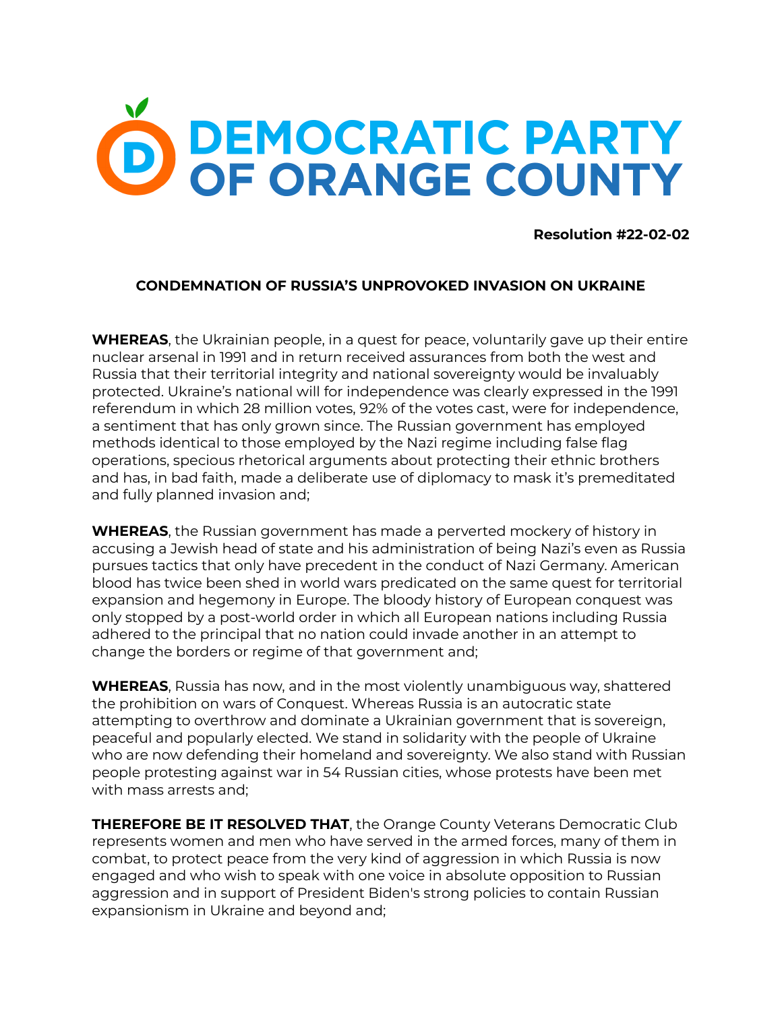## O DEMOCRATIC PARTY

**Resolution #22-02-02**

## **CONDEMNATION OF RUSSIA'S UNPROVOKED INVASION ON UKRAINE**

**WHEREAS**, the Ukrainian people, in a quest for peace, voluntarily gave up their entire nuclear arsenal in 1991 and in return received assurances from both the west and Russia that their territorial integrity and national sovereignty would be invaluably protected. Ukraine's national will for independence was clearly expressed in the 1991 referendum in which 28 million votes, 92% of the votes cast, were for independence, a sentiment that has only grown since. The Russian government has employed methods identical to those employed by the Nazi regime including false flag operations, specious rhetorical arguments about protecting their ethnic brothers and has, in bad faith, made a deliberate use of diplomacy to mask it's premeditated and fully planned invasion and;

**WHEREAS**, the Russian government has made a perverted mockery of history in accusing a Jewish head of state and his administration of being Nazi's even as Russia pursues tactics that only have precedent in the conduct of Nazi Germany. American blood has twice been shed in world wars predicated on the same quest for territorial expansion and hegemony in Europe. The bloody history of European conquest was only stopped by a post-world order in which all European nations including Russia adhered to the principal that no nation could invade another in an attempt to change the borders or regime of that government and;

**WHEREAS**, Russia has now, and in the most violently unambiguous way, shattered the prohibition on wars of Conquest. Whereas Russia is an autocratic state attempting to overthrow and dominate a Ukrainian government that is sovereign, peaceful and popularly elected. We stand in solidarity with the people of Ukraine who are now defending their homeland and sovereignty. We also stand with Russian people protesting against war in 54 Russian cities, whose protests have been met with mass arrests and;

**THEREFORE BE IT RESOLVED THAT**, the Orange County Veterans Democratic Club represents women and men who have served in the armed forces, many of them in combat, to protect peace from the very kind of aggression in which Russia is now engaged and who wish to speak with one voice in absolute opposition to Russian aggression and in support of President Biden's strong policies to contain Russian expansionism in Ukraine and beyond and;